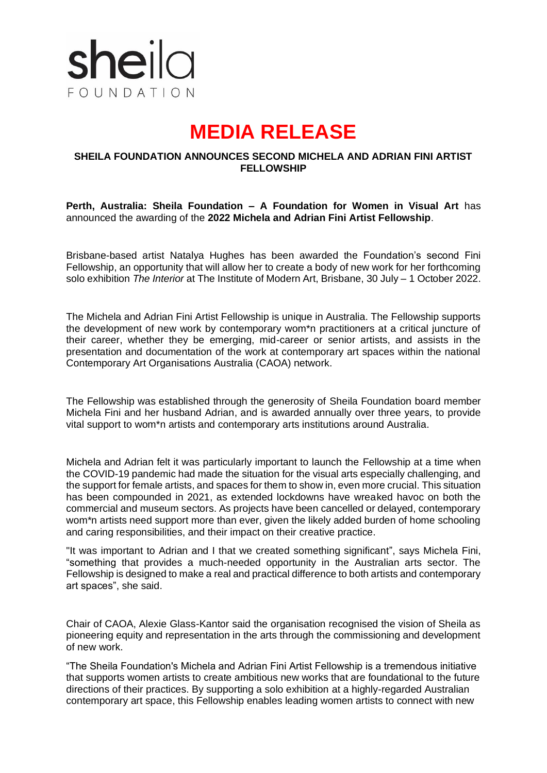

# **MEDIA RELEASE**

### **SHEILA FOUNDATION ANNOUNCES SECOND MICHELA AND ADRIAN FINI ARTIST FELLOWSHIP**

**Perth, Australia: Sheila Foundation – A Foundation for Women in Visual Art** has announced the awarding of the **2022 Michela and Adrian Fini Artist Fellowship**.

Brisbane-based artist Natalya Hughes has been awarded the Foundation's second Fini Fellowship, an opportunity that will allow her to create a body of new work for her forthcoming solo exhibition *The Interior* at The Institute of Modern Art, Brisbane, 30 July – 1 October 2022.

The Michela and Adrian Fini Artist Fellowship is unique in Australia. The Fellowship supports the development of new work by contemporary wom\*n practitioners at a critical juncture of their career, whether they be emerging, mid-career or senior artists, and assists in the presentation and documentation of the work at contemporary art spaces within the national Contemporary Art Organisations Australia (CAOA) network.

The Fellowship was established through the generosity of Sheila Foundation board member Michela Fini and her husband Adrian, and is awarded annually over three years, to provide vital support to wom\*n artists and contemporary arts institutions around Australia.

Michela and Adrian felt it was particularly important to launch the Fellowship at a time when the COVID-19 pandemic had made the situation for the visual arts especially challenging, and the support for female artists, and spaces for them to show in, even more crucial. This situation has been compounded in 2021, as extended lockdowns have wreaked havoc on both the commercial and museum sectors. As projects have been cancelled or delayed, contemporary wom\*n artists need support more than ever, given the likely added burden of home schooling and caring responsibilities, and their impact on their creative practice.

"It was important to Adrian and I that we created something significant", says Michela Fini, "something that provides a much-needed opportunity in the Australian arts sector. The Fellowship is designed to make a real and practical difference to both artists and contemporary art spaces", she said.

Chair of CAOA, Alexie Glass-Kantor said the organisation recognised the vision of Sheila as pioneering equity and representation in the arts through the commissioning and development of new work.

"The Sheila Foundation's Michela and Adrian Fini Artist Fellowship is a tremendous initiative that supports women artists to create ambitious new works that are foundational to the future directions of their practices. By supporting a solo exhibition at a highly-regarded Australian contemporary art space, this Fellowship enables leading women artists to connect with new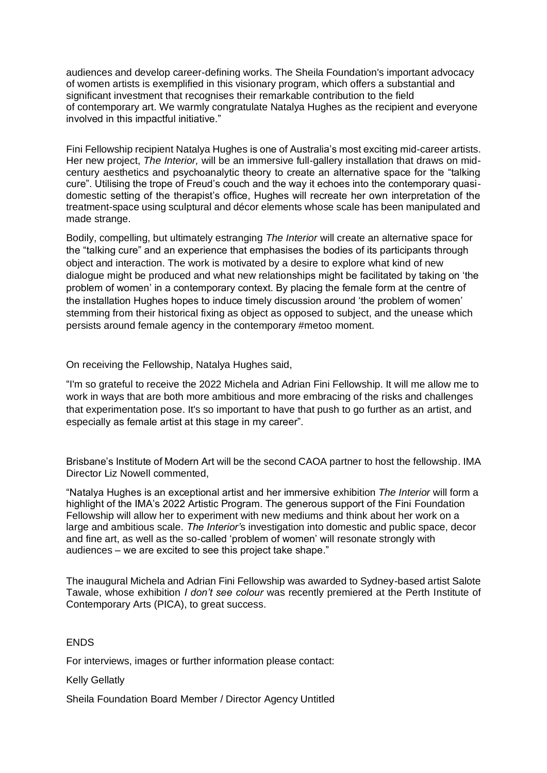audiences and develop career-defining works. The Sheila Foundation's important advocacy of women artists is exemplified in this visionary program, which offers a substantial and significant investment that recognises their remarkable contribution to the field of contemporary art. We warmly congratulate Natalya Hughes as the recipient and everyone involved in this impactful initiative."

Fini Fellowship recipient Natalya Hughes is one of Australia's most exciting mid-career artists. Her new project, *The Interior,* will be an immersive full-gallery installation that draws on midcentury aesthetics and psychoanalytic theory to create an alternative space for the "talking cure". Utilising the trope of Freud's couch and the way it echoes into the contemporary quasidomestic setting of the therapist's office, Hughes will recreate her own interpretation of the treatment-space using sculptural and décor elements whose scale has been manipulated and made strange.

Bodily, compelling, but ultimately estranging *The Interior* will create an alternative space for the "talking cure" and an experience that emphasises the bodies of its participants through object and interaction. The work is motivated by a desire to explore what kind of new dialogue might be produced and what new relationships might be facilitated by taking on 'the problem of women' in a contemporary context. By placing the female form at the centre of the installation Hughes hopes to induce timely discussion around 'the problem of women' stemming from their historical fixing as object as opposed to subject, and the unease which persists around female agency in the contemporary #metoo moment.

On receiving the Fellowship, Natalya Hughes said,

"I'm so grateful to receive the 2022 Michela and Adrian Fini Fellowship. It will me allow me to work in ways that are both more ambitious and more embracing of the risks and challenges that experimentation pose. It's so important to have that push to go further as an artist, and especially as female artist at this stage in my career".

Brisbane's Institute of Modern Art will be the second CAOA partner to host the fellowship. IMA Director Liz Nowell commented,

"Natalya Hughes is an exceptional artist and her immersive exhibition *The Interior* will form a highlight of the IMA's 2022 Artistic Program. The generous support of the Fini Foundation Fellowship will allow her to experiment with new mediums and think about her work on a large and ambitious scale. *The Interior'*s investigation into domestic and public space, decor and fine art, as well as the so-called 'problem of women' will resonate strongly with audiences – we are excited to see this project take shape."

The inaugural Michela and Adrian Fini Fellowship was awarded to Sydney-based artist Salote Tawale, whose exhibition *I don't see colour* was recently premiered at the Perth Institute of Contemporary Arts (PICA), to great success.

# **FNDS**

For interviews, images or further information please contact:

Kelly Gellatly

Sheila Foundation Board Member / Director Agency Untitled